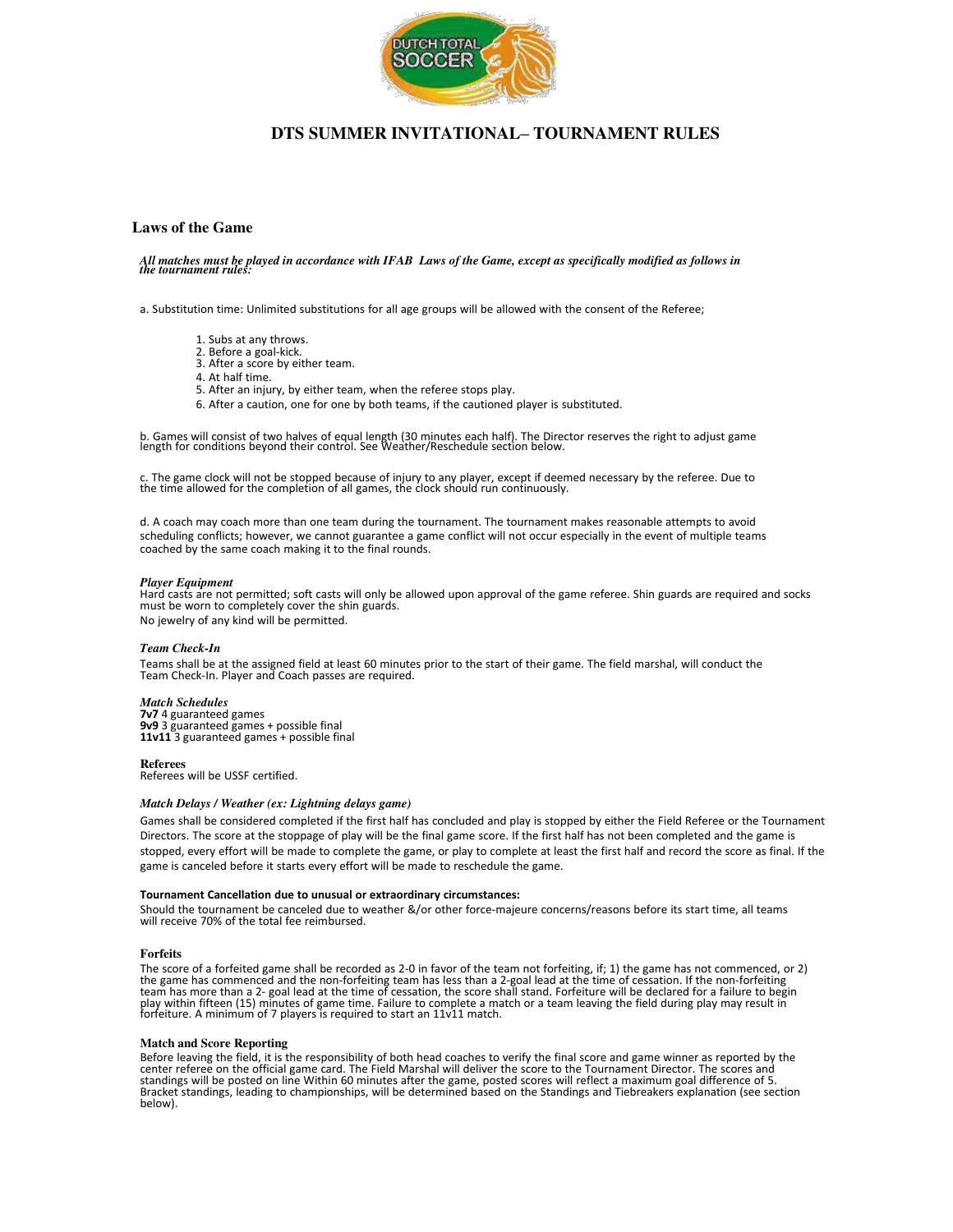

# **DTS SUMMER INVITATIONAL– TOURNAMENT RULES**

## **Laws of the Game**

*All matches must be played in accordance with IFAB Laws of the Game, except as specifically modified as follows in the tournament rules:*

a. Substitution time: Unlimited substitutions for all age groups will be allowed with the consent of the Referee;

- 1. Subs at any throws.
- 2. Before a goal-kick.
- 3. After a score by either team.
- 4. At half time.
- 5. After an injury, by either team, when the referee stops play.
- 6. After a caution, one for one by both teams, if the cautioned player is substituted.

b. Games will consist of two halves of equal length (30 minutes each half). The Director reserves the right to adjust game length for conditions beyond their control. See Weather/Reschedule section below.

c. The game clock will not be stopped because of injury to any player, except if deemed necessary by the referee. Due to the time allowed for the completion of all games, the clock should run continuously.

d. A coach may coach more than one team during the tournament. The tournament makes reasonable attempts to avoid scheduling conflicts; however, we cannot guarantee a game conflict will not occur especially in the event of multiple teams coached by the same coach making it to the final rounds.

### *Player Equipment*

Hard casts are not permitted; soft casts will only be allowed upon approval of the game referee. Shin guards are required and socks must be worn to completely cover the shin guards. No jewelry of any kind will be permitted.

#### *Team Check-In*

Teams shall be at the assigned field at least 60 minutes prior to the start of their game. The field marshal, will conduct the Team Check-In. Player and Coach passes are required.

### *Match Schedules*

**7v7** 4 guaranteed games **9v9** 3 guaranteed games + possible final **11v11** 3 guaranteed games + possible final

**Referees**

Referees will be USSF certified.

## *Match Delays / Weather (ex: Lightning delays game)*

Games shall be considered completed if the first half has concluded and play is stopped by either the Field Referee or the Tournament Directors. The score at the stoppage of play will be the final game score. If the first half has not been completed and the game is stopped, every effort will be made to complete the game, or play to complete at least the first half and record the score as final. If the game is canceled before it starts every effort will be made to reschedule the game.

#### **Tournament Cancellation due to unusual or extraordinary circumstances:**

Should the tournament be canceled due to weather &/or other force-majeure concerns/reasons before its start time, all teams will receive 70% of the total fee reimbursed.

#### **Forfeits**

The score of a forfeited game shall be recorded as 2-0 in favor of the team not forfeiting, if; 1) the game has not commenced, or 2) the game has commenced and the non-forfeiting team has less than a 2-goal lead at the time of cessation. If the non-forfeiting<br>team has more than a 2- goal lead at the time of cessation, the score shall stand. Forfeiture w

#### **Match and Score Reporting**

Before leaving the field, it is the responsibility of both head coaches to verify the final score and game winner as reported by the<br>center referee on the official game card. The Field Marshal will deliver the score to the below).